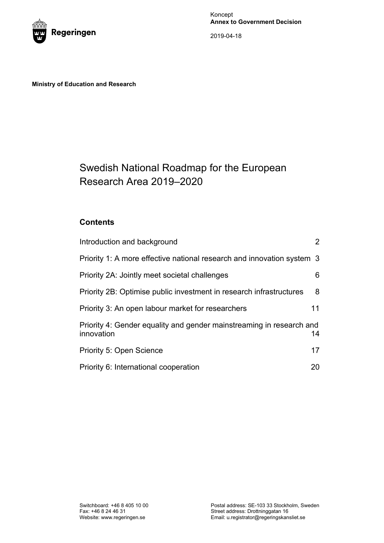

Koncept **Annex to Government Decision**

2019-04-18

**Ministry of Education and Research**

# Swedish National Roadmap for the European Research Area 2019–2020

# **Contents**

| Introduction and background                                                        | $\overline{2}$ |
|------------------------------------------------------------------------------------|----------------|
| Priority 1: A more effective national research and innovation system 3             |                |
| Priority 2A: Jointly meet societal challenges                                      | 6              |
| Priority 2B: Optimise public investment in research infrastructures                | 8              |
| Priority 3: An open labour market for researchers                                  | 11             |
| Priority 4: Gender equality and gender mainstreaming in research and<br>innovation | 14             |
| <b>Priority 5: Open Science</b>                                                    | 17             |
| Priority 6: International cooperation                                              | 20             |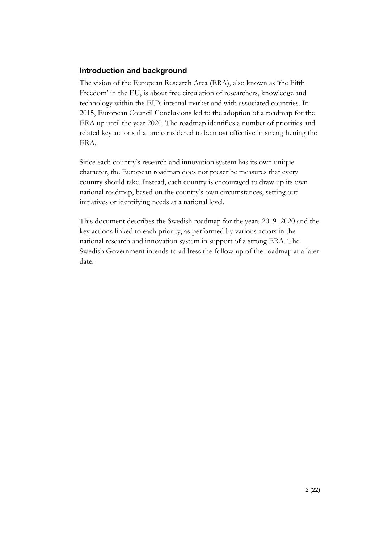# <span id="page-1-0"></span>**Introduction and background**

The vision of the European Research Area (ERA), also known as 'the Fifth Freedom' in the EU, is about free circulation of researchers, knowledge and technology within the EU's internal market and with associated countries. In 2015, European Council Conclusions led to the adoption of a roadmap for the ERA up until the year 2020. The roadmap identifies a number of priorities and related key actions that are considered to be most effective in strengthening the ERA.

Since each country's research and innovation system has its own unique character, the European roadmap does not prescribe measures that every country should take. Instead, each country is encouraged to draw up its own national roadmap, based on the country's own circumstances, setting out initiatives or identifying needs at a national level.

This document describes the Swedish roadmap for the years 2019–2020 and the key actions linked to each priority, as performed by various actors in the national research and innovation system in support of a strong ERA. The Swedish Government intends to address the follow-up of the roadmap at a later date.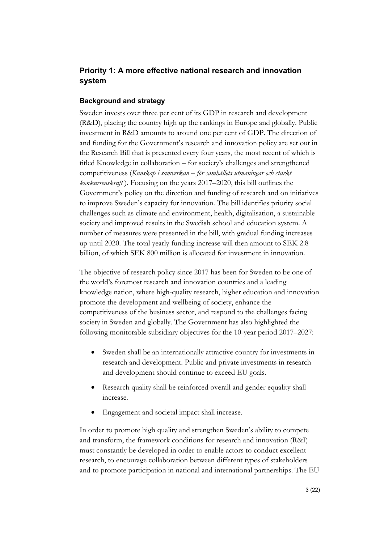# <span id="page-2-0"></span>**Priority 1: A more effective national research and innovation system**

#### **Background and strategy**

Sweden invests over three per cent of its GDP in research and development (R&D), placing the country high up the rankings in Europe and globally. Public investment in R&D amounts to around one per cent of GDP. The direction of and funding for the Government's research and innovation policy are set out in the Research Bill that is presented every four years, the most recent of which is titled Knowledge in collaboration – for society's challenges and strengthened competitiveness (*Kunskap i samverkan – för samhällets utmaningar och stärkt konkurrenskraft* )*.* Focusing on the years 2017–2020, this bill outlines the Government's policy on the direction and funding of research and on initiatives to improve Sweden's capacity for innovation. The bill identifies priority social challenges such as climate and environment, health, digitalisation, a sustainable society and improved results in the Swedish school and education system. A number of measures were presented in the bill, with gradual funding increases up until 2020. The total yearly funding increase will then amount to SEK 2.8 billion, of which SEK 800 million is allocated for investment in innovation.

The objective of research policy since 2017 has been for Sweden to be one of the world's foremost research and innovation countries and a leading knowledge nation, where high-quality research, higher education and innovation promote the development and wellbeing of society, enhance the competitiveness of the business sector, and respond to the challenges facing society in Sweden and globally. The Government has also highlighted the following monitorable subsidiary objectives for the 10-year period 2017–2027:

- Sweden shall be an internationally attractive country for investments in research and development. Public and private investments in research and development should continue to exceed EU goals.
- Research quality shall be reinforced overall and gender equality shall increase.
- Engagement and societal impact shall increase.

In order to promote high quality and strengthen Sweden's ability to compete and transform, the framework conditions for research and innovation (R&I) must constantly be developed in order to enable actors to conduct excellent research, to encourage collaboration between different types of stakeholders and to promote participation in national and international partnerships. The EU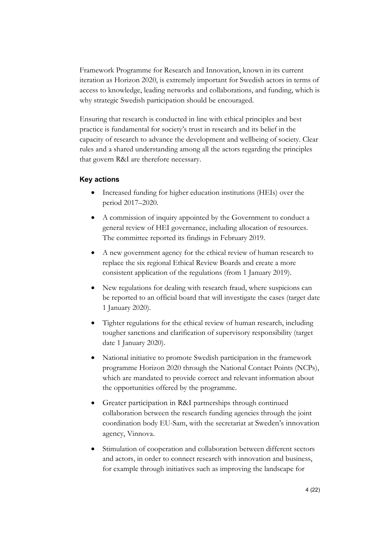Framework Programme for Research and Innovation, known in its current iteration as Horizon 2020, is extremely important for Swedish actors in terms of access to knowledge, leading networks and collaborations, and funding, which is why strategic Swedish participation should be encouraged.

Ensuring that research is conducted in line with ethical principles and best practice is fundamental for society's trust in research and its belief in the capacity of research to advance the development and wellbeing of society. Clear rules and a shared understanding among all the actors regarding the principles that govern R&I are therefore necessary.

- Increased funding for higher education institutions (HEIs) over the period 2017–2020.
- A commission of inquiry appointed by the Government to conduct a general review of HEI governance, including allocation of resources. The committee reported its findings in February 2019.
- A new government agency for the ethical review of human research to replace the six regional Ethical Review Boards and create a more consistent application of the regulations (from 1 January 2019).
- New regulations for dealing with research fraud, where suspicions can be reported to an official board that will investigate the cases (target date 1 January 2020).
- Tighter regulations for the ethical review of human research, including tougher sanctions and clarification of supervisory responsibility (target date 1 January 2020).
- National initiative to promote Swedish participation in the framework programme Horizon 2020 through the National Contact Points (NCPs), which are mandated to provide correct and relevant information about the opportunities offered by the programme.
- Greater participation in R&I partnerships through continued collaboration between the research funding agencies through the joint coordination body EU-Sam, with the secretariat at Sweden's innovation agency, Vinnova.
- Stimulation of cooperation and collaboration between different sectors and actors, in order to connect research with innovation and business, for example through initiatives such as improving the landscape for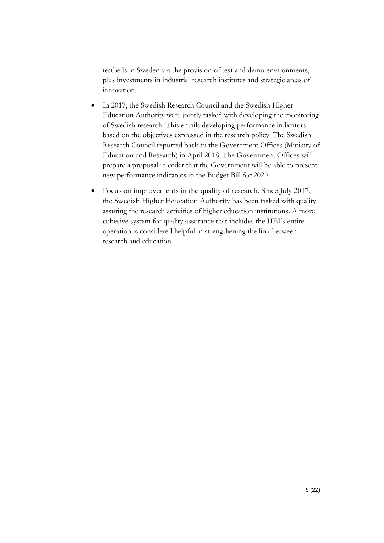testbeds in Sweden via the provision of test and demo environments, plus investments in industrial research institutes and strategic areas of innovation.

- In 2017, the Swedish Research Council and the Swedish Higher Education Authority were jointly tasked with developing the monitoring of Swedish research. This entails developing performance indicators based on the objectives expressed in the research policy. The Swedish Research Council reported back to the Government Offices (Ministry of Education and Research) in April 2018. The Government Offices will prepare a proposal in order that the Government will be able to present new performance indicators in the Budget Bill for 2020.
- Focus on improvements in the quality of research. Since July 2017, the Swedish Higher Education Authority has been tasked with quality assuring the research activities of higher education institutions. A more cohesive system for quality assurance that includes the HEI's entire operation is considered helpful in strengthening the link between research and education.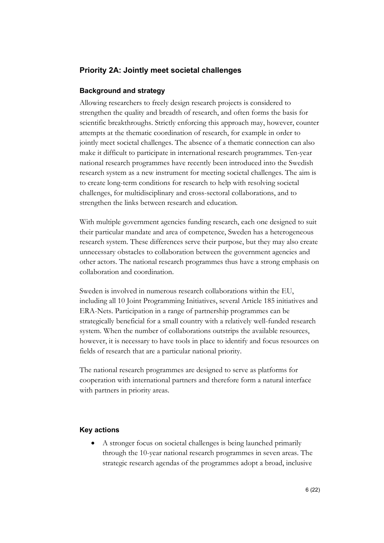# <span id="page-5-0"></span>**Priority 2A: Jointly meet societal challenges**

## **Background and strategy**

Allowing researchers to freely design research projects is considered to strengthen the quality and breadth of research, and often forms the basis for scientific breakthroughs. Strictly enforcing this approach may, however, counter attempts at the thematic coordination of research, for example in order to jointly meet societal challenges. The absence of a thematic connection can also make it difficult to participate in international research programmes. Ten-year national research programmes have recently been introduced into the Swedish research system as a new instrument for meeting societal challenges. The aim is to create long-term conditions for research to help with resolving societal challenges, for multidisciplinary and cross-sectoral collaborations, and to strengthen the links between research and education.

With multiple government agencies funding research, each one designed to suit their particular mandate and area of competence, Sweden has a heterogeneous research system. These differences serve their purpose, but they may also create unnecessary obstacles to collaboration between the government agencies and other actors. The national research programmes thus have a strong emphasis on collaboration and coordination.

Sweden is involved in numerous research collaborations within the EU, including all 10 Joint Programming Initiatives, several Article 185 initiatives and ERA-Nets. Participation in a range of partnership programmes can be strategically beneficial for a small country with a relatively well-funded research system. When the number of collaborations outstrips the available resources, however, it is necessary to have tools in place to identify and focus resources on fields of research that are a particular national priority.

The national research programmes are designed to serve as platforms for cooperation with international partners and therefore form a natural interface with partners in priority areas.

## **Key actions**

• A stronger focus on societal challenges is being launched primarily through the 10-year national research programmes in seven areas. The strategic research agendas of the programmes adopt a broad, inclusive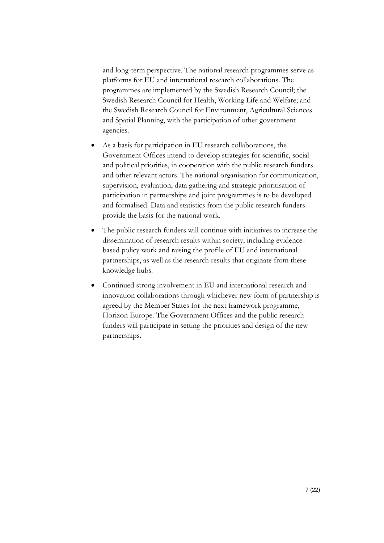and long-term perspective. The national research programmes serve as platforms for EU and international research collaborations. The programmes are implemented by the Swedish Research Council; the Swedish Research Council for Health, Working Life and Welfare; and the Swedish Research Council for Environment, Agricultural Sciences and Spatial Planning, with the participation of other government agencies.

- As a basis for participation in EU research collaborations, the Government Offices intend to develop strategies for scientific, social and political priorities, in cooperation with the public research funders and other relevant actors. The national organisation for communication, supervision, evaluation, data gathering and strategic prioritisation of participation in partnerships and joint programmes is to be developed and formalised. Data and statistics from the public research funders provide the basis for the national work.
- The public research funders will continue with initiatives to increase the dissemination of research results within society, including evidencebased policy work and raising the profile of EU and international partnerships, as well as the research results that originate from these knowledge hubs.
- Continued strong involvement in EU and international research and innovation collaborations through whichever new form of partnership is agreed by the Member States for the next framework programme, Horizon Europe. The Government Offices and the public research funders will participate in setting the priorities and design of the new partnerships.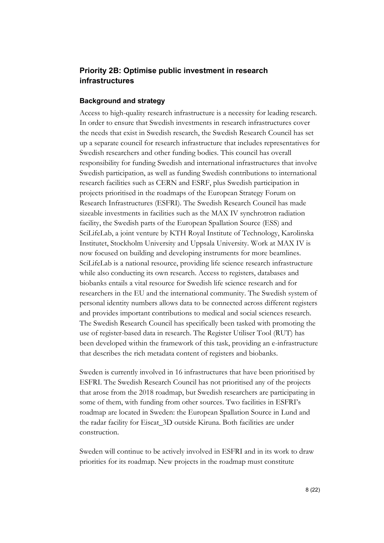# <span id="page-7-0"></span>**Priority 2B: Optimise public investment in research infrastructures**

#### **Background and strategy**

Access to high-quality research infrastructure is a necessity for leading research. In order to ensure that Swedish investments in research infrastructures cover the needs that exist in Swedish research, the Swedish Research Council has set up a separate council for research infrastructure that includes representatives for Swedish researchers and other funding bodies. This council has overall responsibility for funding Swedish and international infrastructures that involve Swedish participation, as well as funding Swedish contributions to international research facilities such as CERN and ESRF, plus Swedish participation in projects prioritised in the roadmaps of the European Strategy Forum on Research Infrastructures (ESFRI). The Swedish Research Council has made sizeable investments in facilities such as the MAX IV synchrotron radiation facility, the Swedish parts of the European Spallation Source (ESS) and SciLifeLab, a joint venture by KTH Royal Institute of Technology, Karolinska Institutet, Stockholm University and Uppsala University. Work at MAX IV is now focused on building and developing instruments for more beamlines. SciLifeLab is a national resource, providing life science research infrastructure while also conducting its own research. Access to registers, databases and biobanks entails a vital resource for Swedish life science research and for researchers in the EU and the international community. The Swedish system of personal identity numbers allows data to be connected across different registers and provides important contributions to medical and social sciences research. The Swedish Research Council has specifically been tasked with promoting the use of register-based data in research. The Register Utiliser Tool (RUT) has been developed within the framework of this task, providing an e-infrastructure that describes the rich metadata content of registers and biobanks.

Sweden is currently involved in 16 infrastructures that have been prioritised by ESFRI. The Swedish Research Council has not prioritised any of the projects that arose from the 2018 roadmap, but Swedish researchers are participating in some of them, with funding from other sources. Two facilities in ESFRI's roadmap are located in Sweden: the European Spallation Source in Lund and the radar facility for Eiscat\_3D outside Kiruna. Both facilities are under construction.

Sweden will continue to be actively involved in ESFRI and in its work to draw priorities for its roadmap. New projects in the roadmap must constitute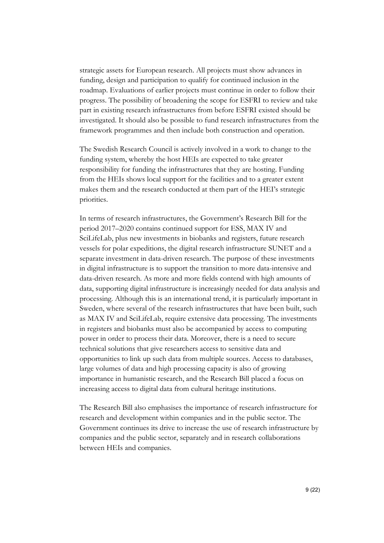strategic assets for European research. All projects must show advances in funding, design and participation to qualify for continued inclusion in the roadmap. Evaluations of earlier projects must continue in order to follow their progress. The possibility of broadening the scope for ESFRI to review and take part in existing research infrastructures from before ESFRI existed should be investigated. It should also be possible to fund research infrastructures from the framework programmes and then include both construction and operation.

The Swedish Research Council is actively involved in a work to change to the funding system, whereby the host HEIs are expected to take greater responsibility for funding the infrastructures that they are hosting. Funding from the HEIs shows local support for the facilities and to a greater extent makes them and the research conducted at them part of the HEI's strategic priorities.

In terms of research infrastructures, the Government's Research Bill for the period 2017–2020 contains continued support for ESS, MAX IV and SciLifeLab, plus new investments in biobanks and registers, future research vessels for polar expeditions, the digital research infrastructure SUNET and a separate investment in data-driven research. The purpose of these investments in digital infrastructure is to support the transition to more data-intensive and data-driven research. As more and more fields contend with high amounts of data, supporting digital infrastructure is increasingly needed for data analysis and processing. Although this is an international trend, it is particularly important in Sweden, where several of the research infrastructures that have been built, such as MAX IV and SciLifeLab, require extensive data processing. The investments in registers and biobanks must also be accompanied by access to computing power in order to process their data. Moreover, there is a need to secure technical solutions that give researchers access to sensitive data and opportunities to link up such data from multiple sources. Access to databases, large volumes of data and high processing capacity is also of growing importance in humanistic research, and the Research Bill placed a focus on increasing access to digital data from cultural heritage institutions.

The Research Bill also emphasises the importance of research infrastructure for research and development within companies and in the public sector. The Government continues its drive to increase the use of research infrastructure by companies and the public sector, separately and in research collaborations between HEIs and companies.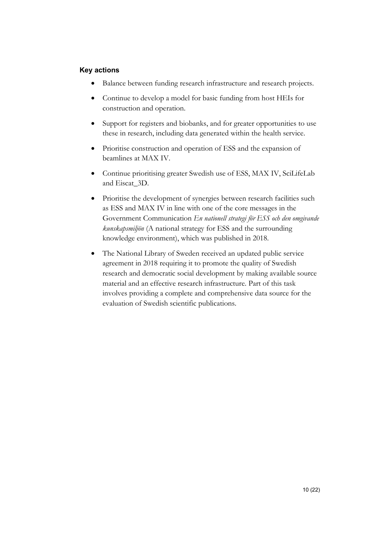- Balance between funding research infrastructure and research projects.
- Continue to develop a model for basic funding from host HEIs for construction and operation.
- Support for registers and biobanks, and for greater opportunities to use these in research, including data generated within the health service.
- Prioritise construction and operation of ESS and the expansion of beamlines at MAX IV.
- Continue prioritising greater Swedish use of ESS, MAX IV, SciLifeLab and Eiscat\_3D.
- Prioritise the development of synergies between research facilities such as ESS and MAX IV in line with one of the core messages in the Government Communication *En nationell strategi för ESS och den omgivande kunskapsmiljön* (A national strategy for ESS and the surrounding knowledge environment), which was published in 2018.
- The National Library of Sweden received an updated public service agreement in 2018 requiring it to promote the quality of Swedish research and democratic social development by making available source material and an effective research infrastructure. Part of this task involves providing a complete and comprehensive data source for the evaluation of Swedish scientific publications.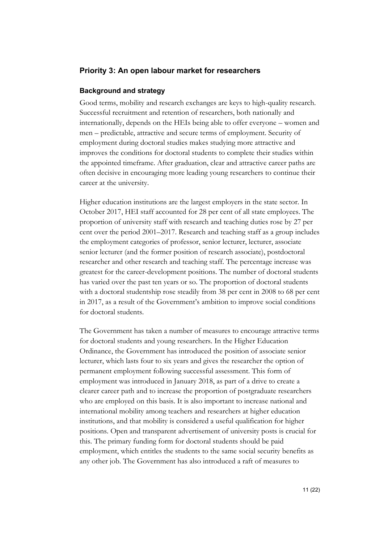## <span id="page-10-0"></span>**Priority 3: An open labour market for researchers**

#### **Background and strategy**

Good terms, mobility and research exchanges are keys to high-quality research. Successful recruitment and retention of researchers, both nationally and internationally, depends on the HEIs being able to offer everyone – women and men – predictable, attractive and secure terms of employment. Security of employment during doctoral studies makes studying more attractive and improves the conditions for doctoral students to complete their studies within the appointed timeframe. After graduation, clear and attractive career paths are often decisive in encouraging more leading young researchers to continue their career at the university.

Higher education institutions are the largest employers in the state sector. In October 2017, HEI staff accounted for 28 per cent of all state employees. The proportion of university staff with research and teaching duties rose by 27 per cent over the period 2001–2017. Research and teaching staff as a group includes the employment categories of professor, senior lecturer, lecturer, associate senior lecturer (and the former position of research associate), postdoctoral researcher and other research and teaching staff. The percentage increase was greatest for the career-development positions. The number of doctoral students has varied over the past ten years or so. The proportion of doctoral students with a doctoral studentship rose steadily from 38 per cent in 2008 to 68 per cent in 2017, as a result of the Government's ambition to improve social conditions for doctoral students.

The Government has taken a number of measures to encourage attractive terms for doctoral students and young researchers. In the Higher Education Ordinance, the Government has introduced the position of associate senior lecturer, which lasts four to six years and gives the researcher the option of permanent employment following successful assessment. This form of employment was introduced in January 2018, as part of a drive to create a clearer career path and to increase the proportion of postgraduate researchers who are employed on this basis. It is also important to increase national and international mobility among teachers and researchers at higher education institutions, and that mobility is considered a useful qualification for higher positions. Open and transparent advertisement of university posts is crucial for this. The primary funding form for doctoral students should be paid employment, which entitles the students to the same social security benefits as any other job. The Government has also introduced a raft of measures to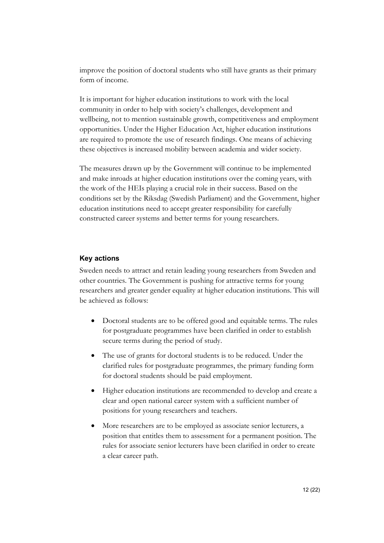improve the position of doctoral students who still have grants as their primary form of income.

It is important for higher education institutions to work with the local community in order to help with society's challenges, development and wellbeing, not to mention sustainable growth, competitiveness and employment opportunities. Under the Higher Education Act, higher education institutions are required to promote the use of research findings. One means of achieving these objectives is increased mobility between academia and wider society.

The measures drawn up by the Government will continue to be implemented and make inroads at higher education institutions over the coming years, with the work of the HEIs playing a crucial role in their success. Based on the conditions set by the Riksdag (Swedish Parliament) and the Government, higher education institutions need to accept greater responsibility for carefully constructed career systems and better terms for young researchers.

## **Key actions**

Sweden needs to attract and retain leading young researchers from Sweden and other countries. The Government is pushing for attractive terms for young researchers and greater gender equality at higher education institutions. This will be achieved as follows:

- Doctoral students are to be offered good and equitable terms. The rules for postgraduate programmes have been clarified in order to establish secure terms during the period of study.
- The use of grants for doctoral students is to be reduced. Under the clarified rules for postgraduate programmes, the primary funding form for doctoral students should be paid employment.
- Higher education institutions are recommended to develop and create a clear and open national career system with a sufficient number of positions for young researchers and teachers.
- More researchers are to be employed as associate senior lecturers, a position that entitles them to assessment for a permanent position. The rules for associate senior lecturers have been clarified in order to create a clear career path.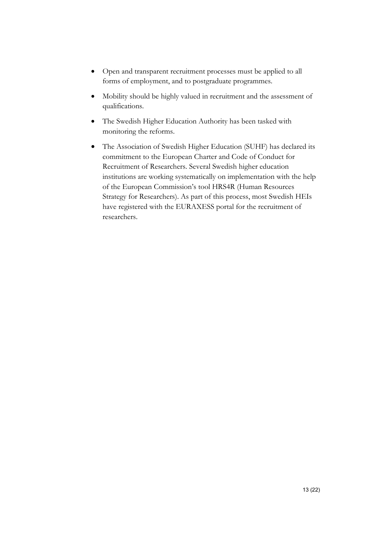- Open and transparent recruitment processes must be applied to all forms of employment, and to postgraduate programmes.
- Mobility should be highly valued in recruitment and the assessment of qualifications.
- The Swedish Higher Education Authority has been tasked with monitoring the reforms.
- The Association of Swedish Higher Education (SUHF) has declared its commitment to the European Charter and Code of Conduct for Recruitment of Researchers. Several Swedish higher education institutions are working systematically on implementation with the help of the European Commission's tool HRS4R (Human Resources Strategy for Researchers). As part of this process, most Swedish HEIs have registered with the EURAXESS portal for the recruitment of researchers.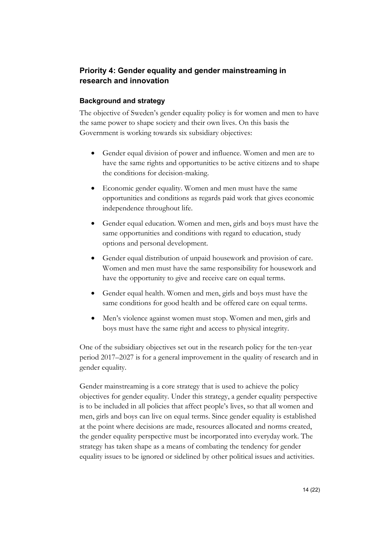# <span id="page-13-0"></span>**Priority 4: Gender equality and gender mainstreaming in research and innovation**

# **Background and strategy**

The objective of Sweden's gender equality policy is for women and men to have the same power to shape society and their own lives. On this basis the Government is working towards six subsidiary objectives:

- Gender equal division of power and influence. Women and men are to have the same rights and opportunities to be active citizens and to shape the conditions for decision-making.
- Economic gender equality. Women and men must have the same opportunities and conditions as regards paid work that gives economic independence throughout life.
- Gender equal education. Women and men, girls and boys must have the same opportunities and conditions with regard to education, study options and personal development.
- Gender equal distribution of unpaid housework and provision of care. Women and men must have the same responsibility for housework and have the opportunity to give and receive care on equal terms.
- Gender equal health. Women and men, girls and boys must have the same conditions for good health and be offered care on equal terms.
- Men's violence against women must stop. Women and men, girls and boys must have the same right and access to physical integrity.

One of the subsidiary objectives set out in the research policy for the ten-year period 2017–2027 is for a general improvement in the quality of research and in gender equality.

Gender mainstreaming is a core strategy that is used to achieve the policy objectives for gender equality. Under this strategy, a gender equality perspective is to be included in all policies that affect people's lives, so that all women and men, girls and boys can live on equal terms. Since gender equality is established at the point where decisions are made, resources allocated and norms created, the gender equality perspective must be incorporated into everyday work. The strategy has taken shape as a means of combating the tendency for gender equality issues to be ignored or sidelined by other political issues and activities.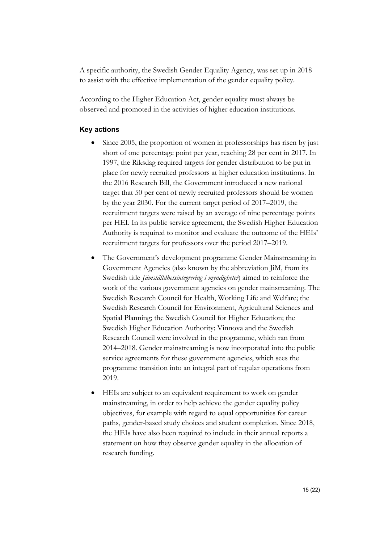A specific authority, the Swedish Gender Equality Agency, was set up in 2018 to assist with the effective implementation of the gender equality policy.

According to the Higher Education Act, gender equality must always be observed and promoted in the activities of higher education institutions.

- Since 2005, the proportion of women in professorships has risen by just short of one percentage point per year, reaching 28 per cent in 2017. In 1997, the Riksdag required targets for gender distribution to be put in place for newly recruited professors at higher education institutions. In the 2016 Research Bill, the Government introduced a new national target that 50 per cent of newly recruited professors should be women by the year 2030. For the current target period of 2017–2019, the recruitment targets were raised by an average of nine percentage points per HEI. In its public service agreement, the Swedish Higher Education Authority is required to monitor and evaluate the outcome of the HEIs' recruitment targets for professors over the period 2017–2019.
- The Government's development programme Gender Mainstreaming in Government Agencies (also known by the abbreviation JiM, from its Swedish title *Jämställdhetsintegrering i myndigheter*) aimed to reinforce the work of the various government agencies on gender mainstreaming. The Swedish Research Council for Health, Working Life and Welfare; the Swedish Research Council for Environment, Agricultural Sciences and Spatial Planning; the Swedish Council for Higher Education; the Swedish Higher Education Authority; Vinnova and the Swedish Research Council were involved in the programme, which ran from 2014–2018. Gender mainstreaming is now incorporated into the public service agreements for these government agencies, which sees the programme transition into an integral part of regular operations from 2019.
- HEIs are subject to an equivalent requirement to work on gender mainstreaming, in order to help achieve the gender equality policy objectives, for example with regard to equal opportunities for career paths, gender-based study choices and student completion. Since 2018, the HEIs have also been required to include in their annual reports a statement on how they observe gender equality in the allocation of research funding.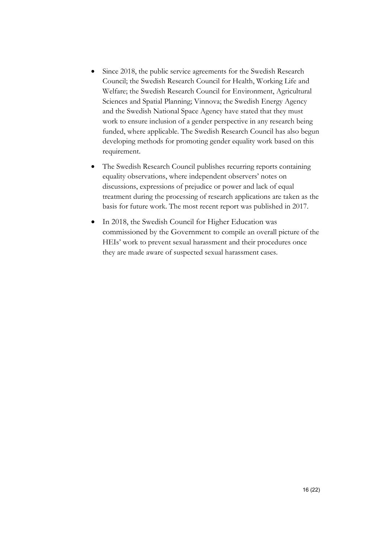- Since 2018, the public service agreements for the Swedish Research Council; the Swedish Research Council for Health, Working Life and Welfare; the Swedish Research Council for Environment, Agricultural Sciences and Spatial Planning; Vinnova; the Swedish Energy Agency and the Swedish National Space Agency have stated that they must work to ensure inclusion of a gender perspective in any research being funded, where applicable. The Swedish Research Council has also begun developing methods for promoting gender equality work based on this requirement.
- The Swedish Research Council publishes recurring reports containing equality observations, where independent observers' notes on discussions, expressions of prejudice or power and lack of equal treatment during the processing of research applications are taken as the basis for future work. The most recent report was published in 2017.
- In 2018, the Swedish Council for Higher Education was commissioned by the Government to compile an overall picture of the HEIs' work to prevent sexual harassment and their procedures once they are made aware of suspected sexual harassment cases.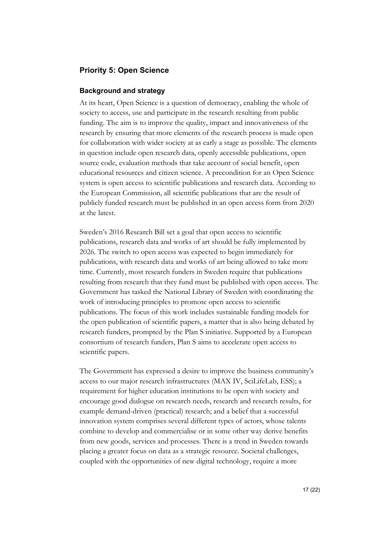# <span id="page-16-0"></span>**Priority 5: Open Science**

#### **Background and strategy**

At its heart, Open Science is a question of democracy, enabling the whole of society to access, use and participate in the research resulting from public funding. The aim is to improve the quality, impact and innovativeness of the research by ensuring that more elements of the research process is made open for collaboration with wider society at as early a stage as possible. The elements in question include open research data, openly accessible publications, open source code, evaluation methods that take account of social benefit, open educational resources and citizen science. A precondition for an Open Science system is open access to scientific publications and research data. According to the European Commission, all scientific publications that are the result of publicly funded research must be published in an open access form from 2020 at the latest.

Sweden's 2016 Research Bill set a goal that open access to scientific publications, research data and works of art should be fully implemented by 2026. The switch to open access was expected to begin immediately for publications, with research data and works of art being allowed to take more time. Currently, most research funders in Sweden require that publications resulting from research that they fund must be published with open access. The Government has tasked the National Library of Sweden with coordinating the work of introducing principles to promote open access to scientific publications. The focus of this work includes sustainable funding models for the open publication of scientific papers, a matter that is also being debated by research funders, prompted by the Plan S initiative. Supported by a European consortium of research funders, Plan S aims to accelerate open access to scientific papers.

The Government has expressed a desire to improve the business community's access to our major research infrastructures (MAX IV, SciLifeLab, ESS); a requirement for higher education institutions to be open with society and encourage good dialogue on research needs, research and research results, for example demand-driven (practical) research; and a belief that a successful innovation system comprises several different types of actors, whose talents combine to develop and commercialise or in some other way derive benefits from new goods, services and processes. There is a trend in Sweden towards placing a greater focus on data as a strategic resource. Societal challenges, coupled with the opportunities of new digital technology, require a more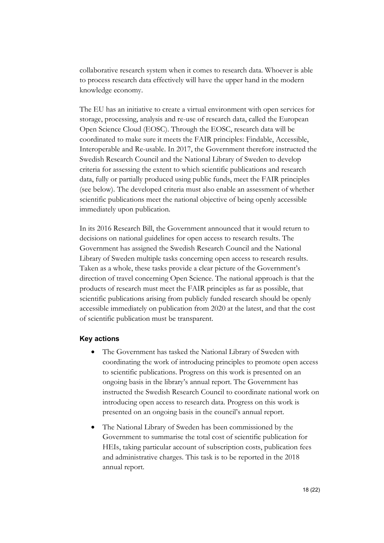collaborative research system when it comes to research data. Whoever is able to process research data effectively will have the upper hand in the modern knowledge economy.

The EU has an initiative to create a virtual environment with open services for storage, processing, analysis and re-use of research data, called the European Open Science Cloud (EOSC). Through the EOSC, research data will be coordinated to make sure it meets the FAIR principles: Findable, Accessible, Interoperable and Re-usable. In 2017, the Government therefore instructed the Swedish Research Council and the National Library of Sweden to develop criteria for assessing the extent to which scientific publications and research data, fully or partially produced using public funds, meet the FAIR principles (see below). The developed criteria must also enable an assessment of whether scientific publications meet the national objective of being openly accessible immediately upon publication.

In its 2016 Research Bill, the Government announced that it would return to decisions on national guidelines for open access to research results. The Government has assigned the Swedish Research Council and the National Library of Sweden multiple tasks concerning open access to research results. Taken as a whole, these tasks provide a clear picture of the Government's direction of travel concerning Open Science. The national approach is that the products of research must meet the FAIR principles as far as possible, that scientific publications arising from publicly funded research should be openly accessible immediately on publication from 2020 at the latest, and that the cost of scientific publication must be transparent.

- The Government has tasked the National Library of Sweden with coordinating the work of introducing principles to promote open access to scientific publications. Progress on this work is presented on an ongoing basis in the library's annual report. The Government has instructed the Swedish Research Council to coordinate national work on introducing open access to research data. Progress on this work is presented on an ongoing basis in the council's annual report.
- The National Library of Sweden has been commissioned by the Government to summarise the total cost of scientific publication for HEIs, taking particular account of subscription costs, publication fees and administrative charges. This task is to be reported in the 2018 annual report.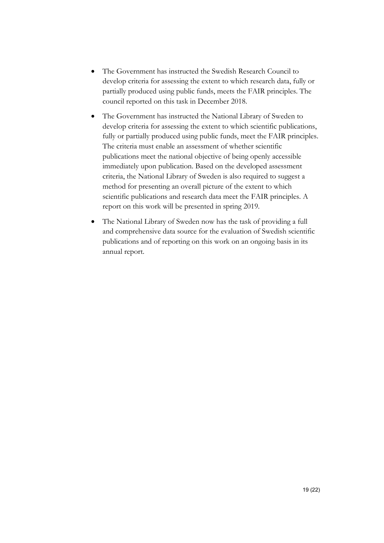- The Government has instructed the Swedish Research Council to develop criteria for assessing the extent to which research data, fully or partially produced using public funds, meets the FAIR principles. The council reported on this task in December 2018.
- The Government has instructed the National Library of Sweden to develop criteria for assessing the extent to which scientific publications, fully or partially produced using public funds, meet the FAIR principles. The criteria must enable an assessment of whether scientific publications meet the national objective of being openly accessible immediately upon publication. Based on the developed assessment criteria, the National Library of Sweden is also required to suggest a method for presenting an overall picture of the extent to which scientific publications and research data meet the FAIR principles. A report on this work will be presented in spring 2019.
- The National Library of Sweden now has the task of providing a full and comprehensive data source for the evaluation of Swedish scientific publications and of reporting on this work on an ongoing basis in its annual report.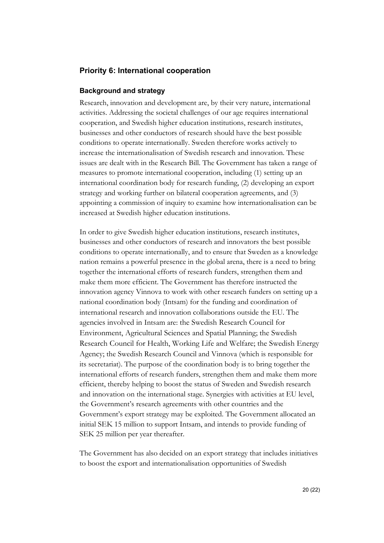# <span id="page-19-0"></span>**Priority 6: International cooperation**

#### **Background and strategy**

Research, innovation and development are, by their very nature, international activities. Addressing the societal challenges of our age requires international cooperation, and Swedish higher education institutions, research institutes, businesses and other conductors of research should have the best possible conditions to operate internationally. Sweden therefore works actively to increase the internationalisation of Swedish research and innovation. These issues are dealt with in the Research Bill. The Government has taken a range of measures to promote international cooperation, including (1) setting up an international coordination body for research funding, (2) developing an export strategy and working further on bilateral cooperation agreements, and (3) appointing a commission of inquiry to examine how internationalisation can be increased at Swedish higher education institutions.

In order to give Swedish higher education institutions, research institutes, businesses and other conductors of research and innovators the best possible conditions to operate internationally, and to ensure that Sweden as a knowledge nation remains a powerful presence in the global arena, there is a need to bring together the international efforts of research funders, strengthen them and make them more efficient. The Government has therefore instructed the innovation agency Vinnova to work with other research funders on setting up a national coordination body (Intsam) for the funding and coordination of international research and innovation collaborations outside the EU. The agencies involved in Intsam are: the Swedish Research Council for Environment, Agricultural Sciences and Spatial Planning; the Swedish Research Council for Health, Working Life and Welfare; the Swedish Energy Agency; the Swedish Research Council and Vinnova (which is responsible for its secretariat). The purpose of the coordination body is to bring together the international efforts of research funders, strengthen them and make them more efficient, thereby helping to boost the status of Sweden and Swedish research and innovation on the international stage. Synergies with activities at EU level, the Government's research agreements with other countries and the Government's export strategy may be exploited. The Government allocated an initial SEK 15 million to support Intsam, and intends to provide funding of SEK 25 million per year thereafter.

The Government has also decided on an export strategy that includes initiatives to boost the export and internationalisation opportunities of Swedish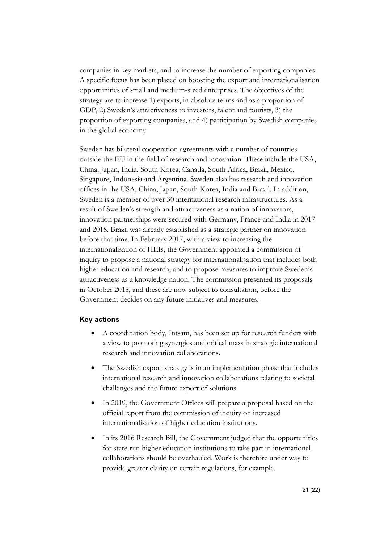companies in key markets, and to increase the number of exporting companies. A specific focus has been placed on boosting the export and internationalisation opportunities of small and medium-sized enterprises. The objectives of the strategy are to increase 1) exports, in absolute terms and as a proportion of GDP, 2) Sweden's attractiveness to investors, talent and tourists, 3) the proportion of exporting companies, and 4) participation by Swedish companies in the global economy.

Sweden has bilateral cooperation agreements with a number of countries outside the EU in the field of research and innovation. These include the USA, China, Japan, India, South Korea, Canada, South Africa, Brazil, Mexico, Singapore, Indonesia and Argentina. Sweden also has research and innovation offices in the USA, China, Japan, South Korea, India and Brazil. In addition, Sweden is a member of over 30 international research infrastructures. As a result of Sweden's strength and attractiveness as a nation of innovators, innovation partnerships were secured with Germany, France and India in 2017 and 2018. Brazil was already established as a strategic partner on innovation before that time. In February 2017, with a view to increasing the internationalisation of HEIs, the Government appointed a commission of inquiry to propose a national strategy for internationalisation that includes both higher education and research, and to propose measures to improve Sweden's attractiveness as a knowledge nation. The commission presented its proposals in October 2018, and these are now subject to consultation, before the Government decides on any future initiatives and measures.

- A coordination body, Intsam, has been set up for research funders with a view to promoting synergies and critical mass in strategic international research and innovation collaborations.
- The Swedish export strategy is in an implementation phase that includes international research and innovation collaborations relating to societal challenges and the future export of solutions.
- In 2019, the Government Offices will prepare a proposal based on the official report from the commission of inquiry on increased internationalisation of higher education institutions.
- In its 2016 Research Bill, the Government judged that the opportunities for state-run higher education institutions to take part in international collaborations should be overhauled. Work is therefore under way to provide greater clarity on certain regulations, for example.